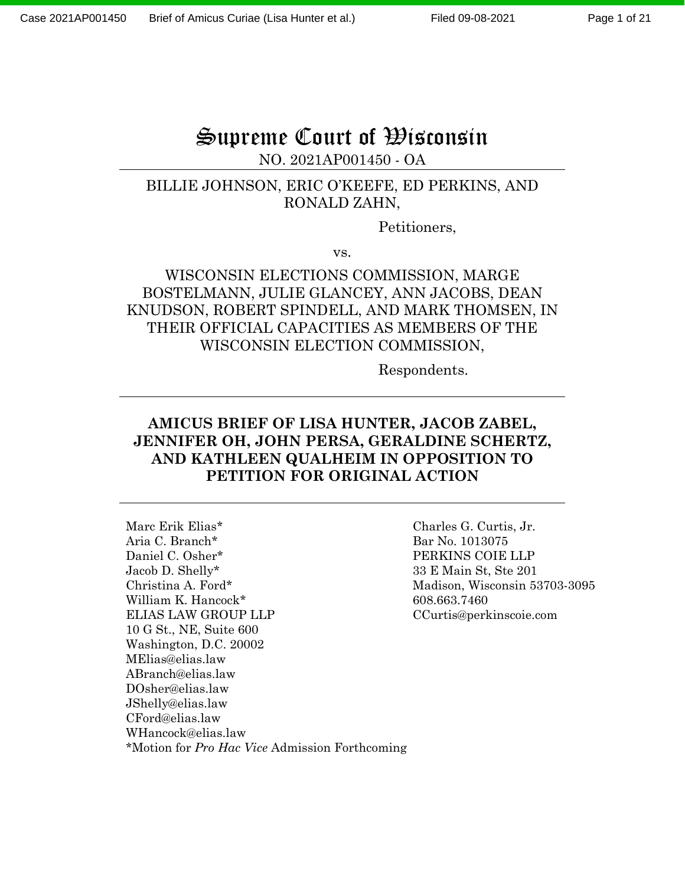# Supreme Court of Wisconsin

#### NO. 2021AP001450 - OA

#### BILLIE JOHNSON, ERIC O'KEEFE, ED PERKINS, AND RONALD ZAHN,

Petitioners,

vs.

### WISCONSIN ELECTIONS COMMISSION, MARGE BOSTELMANN, JULIE GLANCEY, ANN JACOBS, DEAN KNUDSON, ROBERT SPINDELL, AND MARK THOMSEN, IN THEIR OFFICIAL CAPACITIES AS MEMBERS OF THE WISCONSIN ELECTION COMMISSION,

Respondents.

#### **AMICUS BRIEF OF LISA HUNTER, JACOB ZABEL, JENNIFER OH, JOHN PERSA, GERALDINE SCHERTZ, AND KATHLEEN QUALHEIM IN OPPOSITION TO PETITION FOR ORIGINAL ACTION**

Marc Erik Elias\* Aria C. Branch\* Daniel C. Osher\* Jacob D. Shelly\* Christina A. Ford\* William K. Hancock\* ELIAS LAW GROUP LLP 10 G St., NE, Suite 600 Washington, D.C. 20002 MElias@elias.law ABranch@elias.law DOsher@elias.law JShelly@elias.law CFord@elias.law WHancock@elias.law \*Motion for *Pro Hac Vice* Admission Forthcoming

Charles G. Curtis, Jr. Bar No. 1013075 PERKINS COIE LLP 33 E Main St, Ste 201 Madison, Wisconsin 53703-3095 608.663.7460 CCurtis@perkinscoie.com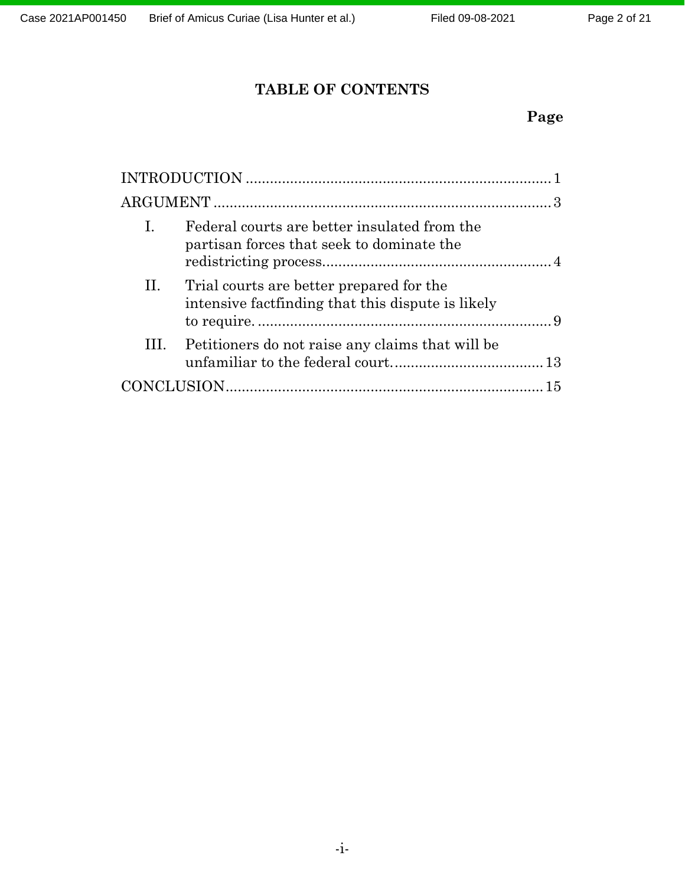## **TABLE OF CONTENTS**

## **Page**

| I. | Federal courts are better insulated from the<br>partisan forces that seek to dominate the      |  |
|----|------------------------------------------------------------------------------------------------|--|
| П. | Trial courts are better prepared for the<br>intensive fact finding that this dispute is likely |  |
|    | III. Petitioners do not raise any claims that will be                                          |  |
|    |                                                                                                |  |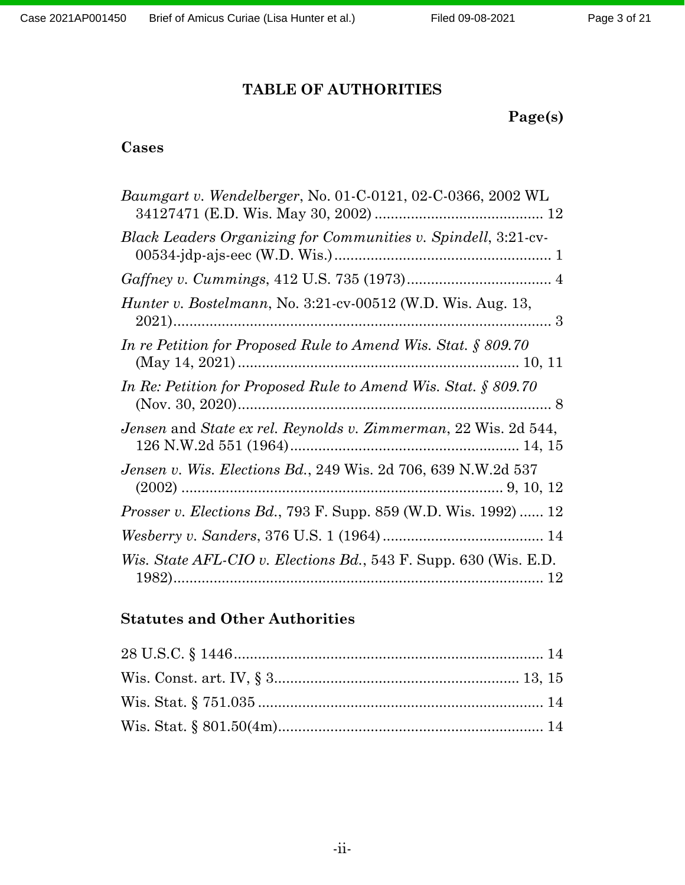## **TABLE OF AUTHORITIES**

**Page(s)**

## **Cases**

| <i>Baumgart v. Wendelberger, No.</i> 01-C-0121, 02-C-0366, 2002 WL     |
|------------------------------------------------------------------------|
| Black Leaders Organizing for Communities v. Spindell, 3:21-cv-         |
|                                                                        |
| Hunter v. Bostelmann, No. 3:21-cv-00512 (W.D. Wis. Aug. 13,            |
| In re Petition for Proposed Rule to Amend Wis. Stat. $\S 809.70$       |
| In Re: Petition for Proposed Rule to Amend Wis. Stat. $\S 809.70$      |
| Jensen and State ex rel. Reynolds v. Zimmerman, 22 Wis. 2d 544,        |
| <i>Jensen v. Wis. Elections Bd., 249 Wis. 2d 706, 639 N.W.2d 537</i>   |
| <i>Prosser v. Elections Bd., 793 F. Supp. 859 (W.D. Wis. 1992)  12</i> |
|                                                                        |
| Wis. State AFL-CIO v. Elections Bd., 543 F. Supp. 630 (Wis. E.D.       |

## **Statutes and Other Authorities**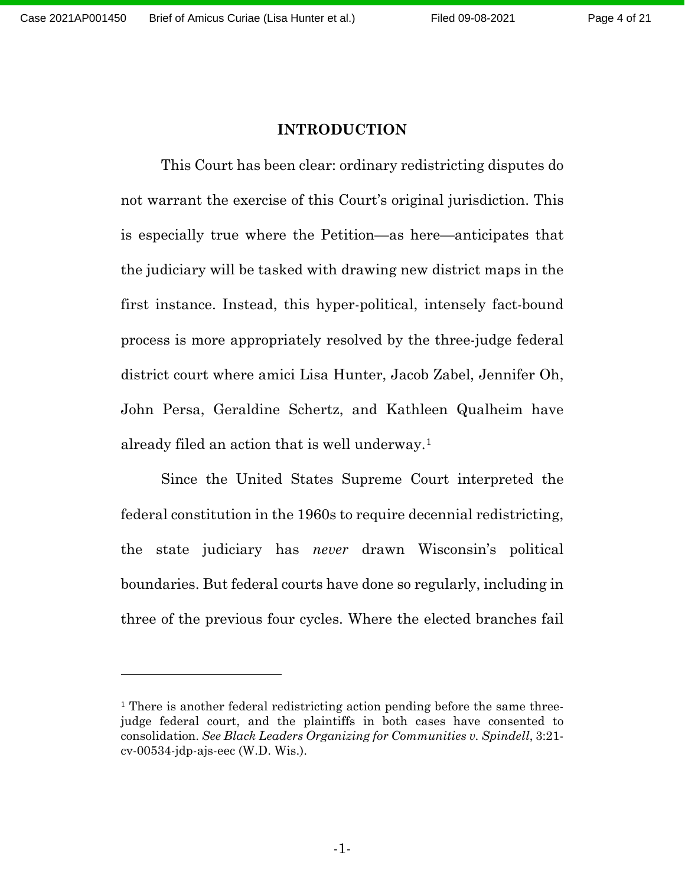#### **INTRODUCTION**

<span id="page-3-0"></span>This Court has been clear: ordinary redistricting disputes do not warrant the exercise of this Court's original jurisdiction. This is especially true where the Petition—as here—anticipates that the judiciary will be tasked with drawing new district maps in the first instance. Instead, this hyper-political, intensely fact-bound process is more appropriately resolved by the three-judge federal district court where amici Lisa Hunter, Jacob Zabel, Jennifer Oh, John Persa, Geraldine Schertz, and Kathleen Qualheim have already filed an action that is well underway.[1](#page-3-1)

Since the United States Supreme Court interpreted the federal constitution in the 1960s to require decennial redistricting, the state judiciary has *never* drawn Wisconsin's political boundaries. But federal courts have done so regularly, including in three of the previous four cycles. Where the elected branches fail

<span id="page-3-1"></span><sup>&</sup>lt;sup>1</sup> There is another federal redistricting action pending before the same threejudge federal court, and the plaintiffs in both cases have consented to consolidation. *See Black Leaders Organizing for Communities v. Spindell*, 3:21 cv-00534-jdp-ajs-eec (W.D. Wis.).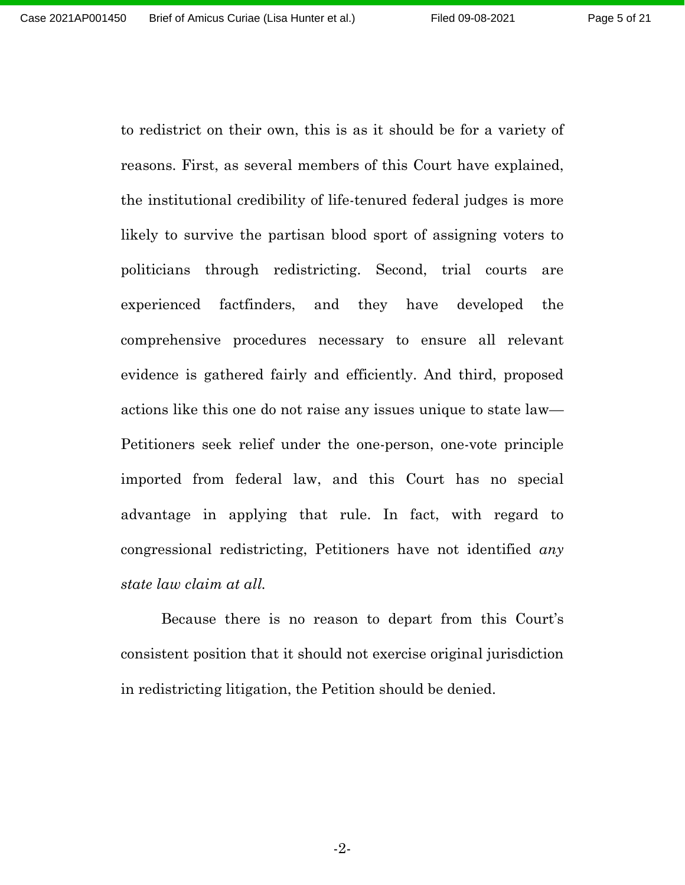Page 5 of 21

to redistrict on their own, this is as it should be for a variety of reasons. First, as several members of this Court have explained, the institutional credibility of life-tenured federal judges is more likely to survive the partisan blood sport of assigning voters to politicians through redistricting. Second, trial courts are experienced factfinders, and they have developed the comprehensive procedures necessary to ensure all relevant evidence is gathered fairly and efficiently. And third, proposed actions like this one do not raise any issues unique to state law— Petitioners seek relief under the one-person, one-vote principle imported from federal law, and this Court has no special advantage in applying that rule. In fact, with regard to congressional redistricting, Petitioners have not identified *any state law claim at all.*

Because there is no reason to depart from this Court's consistent position that it should not exercise original jurisdiction in redistricting litigation, the Petition should be denied.

-2-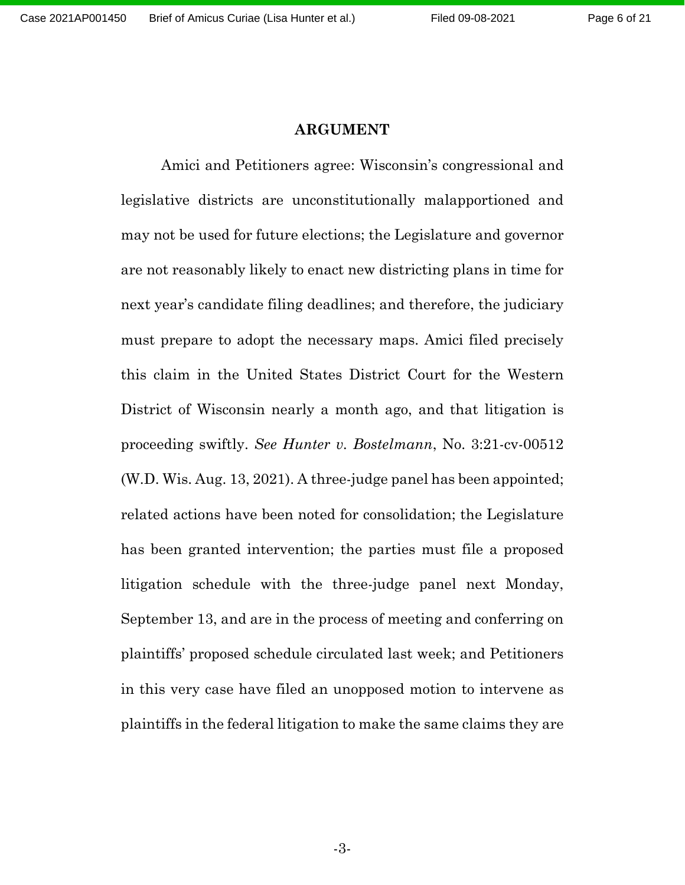#### **ARGUMENT**

<span id="page-5-0"></span>Amici and Petitioners agree: Wisconsin's congressional and legislative districts are unconstitutionally malapportioned and may not be used for future elections; the Legislature and governor are not reasonably likely to enact new districting plans in time for next year's candidate filing deadlines; and therefore, the judiciary must prepare to adopt the necessary maps. Amici filed precisely this claim in the United States District Court for the Western District of Wisconsin nearly a month ago, and that litigation is proceeding swiftly. *See Hunter v. Bostelmann*, No. 3:21-cv-00512 (W.D. Wis. Aug. 13, 2021). A three-judge panel has been appointed; related actions have been noted for consolidation; the Legislature has been granted intervention; the parties must file a proposed litigation schedule with the three-judge panel next Monday, September 13, and are in the process of meeting and conferring on plaintiffs' proposed schedule circulated last week; and Petitioners in this very case have filed an unopposed motion to intervene as plaintiffs in the federal litigation to make the same claims they are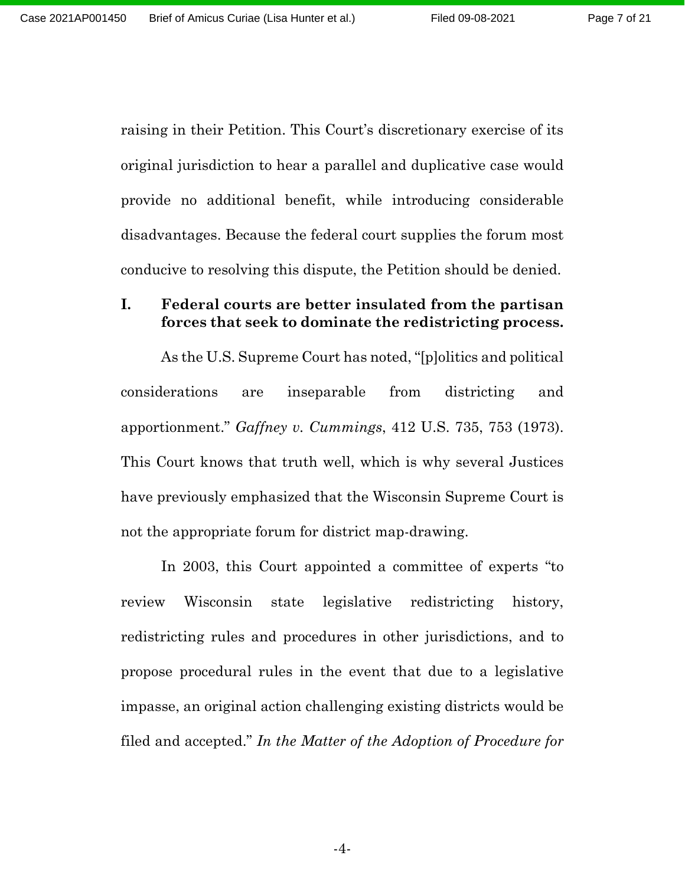Page 7 of 21

raising in their Petition. This Court's discretionary exercise of its original jurisdiction to hear a parallel and duplicative case would provide no additional benefit, while introducing considerable disadvantages. Because the federal court supplies the forum most conducive to resolving this dispute, the Petition should be denied.

#### <span id="page-6-0"></span>**I. Federal courts are better insulated from the partisan forces that seek to dominate the redistricting process.**

As the U.S. Supreme Court has noted, "[p]olitics and political considerations are inseparable from districting and apportionment." *Gaffney v. Cummings*, 412 U.S. 735, 753 (1973). This Court knows that truth well, which is why several Justices have previously emphasized that the Wisconsin Supreme Court is not the appropriate forum for district map-drawing.

In 2003, this Court appointed a committee of experts "to review Wisconsin state legislative redistricting history, redistricting rules and procedures in other jurisdictions, and to propose procedural rules in the event that due to a legislative impasse, an original action challenging existing districts would be filed and accepted." *In the Matter of the Adoption of Procedure for*

-4-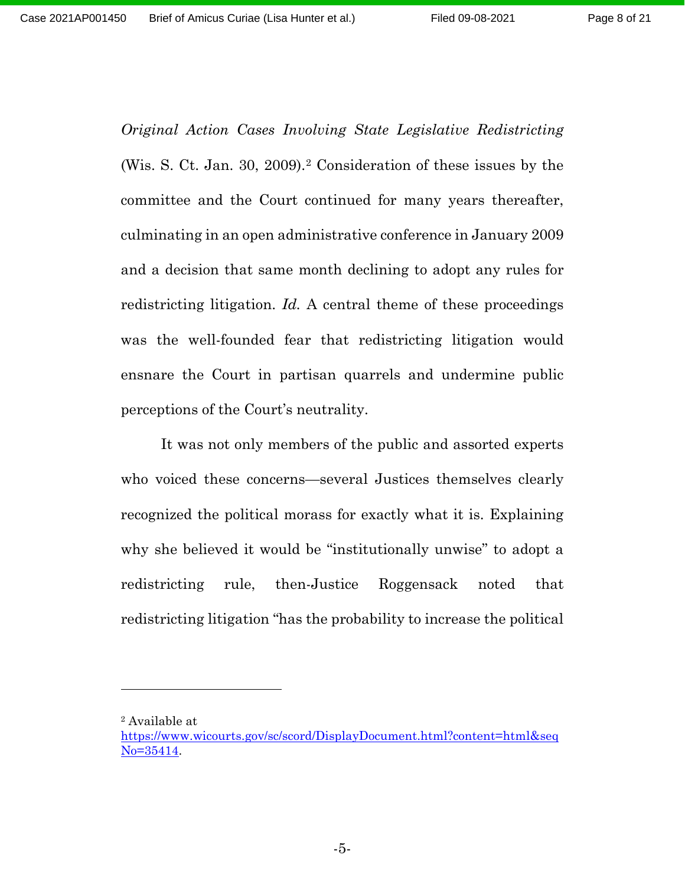*Original Action Cases Involving State Legislative Redistricting* (Wis. S. Ct. Jan. 30, 2009).[2](#page-7-0) Consideration of these issues by the committee and the Court continued for many years thereafter, culminating in an open administrative conference in January 2009 and a decision that same month declining to adopt any rules for redistricting litigation. *Id.* A central theme of these proceedings was the well-founded fear that redistricting litigation would ensnare the Court in partisan quarrels and undermine public perceptions of the Court's neutrality.

It was not only members of the public and assorted experts who voiced these concerns—several Justices themselves clearly recognized the political morass for exactly what it is. Explaining why she believed it would be "institutionally unwise" to adopt a redistricting rule, then-Justice Roggensack noted that redistricting litigation "has the probability to increase the political

<span id="page-7-0"></span><sup>2</sup> Available at

[https://www.wicourts.gov/sc/scord/DisplayDocument.html?content=html&seq](https://www.wicourts.gov/sc/scord/DisplayDocument.html?content=html&seqNo=35414) [No=35414.](https://www.wicourts.gov/sc/scord/DisplayDocument.html?content=html&seqNo=35414)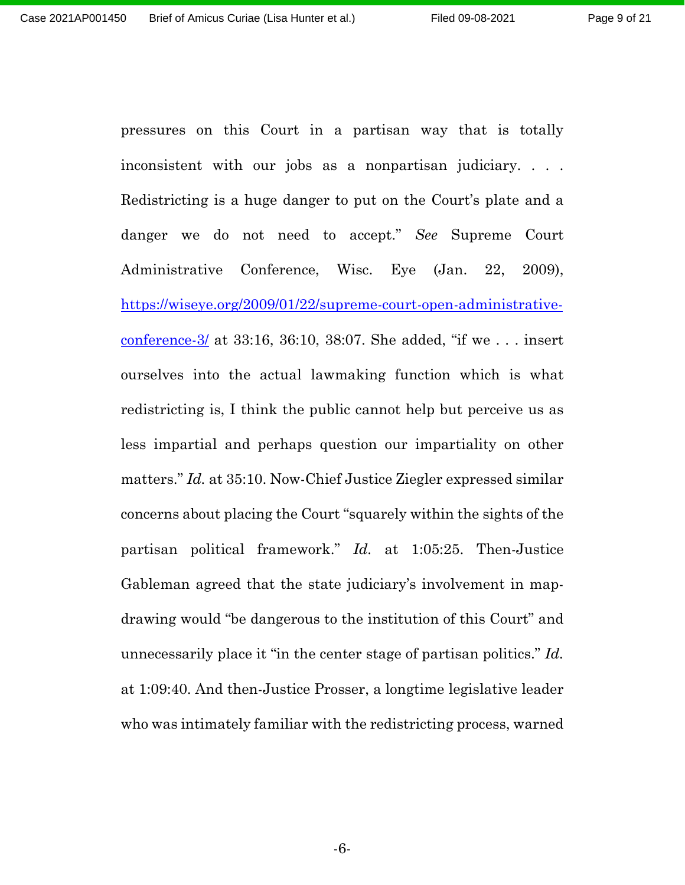pressures on this Court in a partisan way that is totally inconsistent with our jobs as a nonpartisan judiciary. . . . Redistricting is a huge danger to put on the Court's plate and a danger we do not need to accept." *See* Supreme Court Administrative Conference, Wisc. Eye (Jan. 22, 2009), [https://wiseye.org/2009/01/22/supreme-court-open-administrative](https://wiseye.org/2009/01/22/supreme-court-open-administrative-conference-3/)[conference-3/](https://wiseye.org/2009/01/22/supreme-court-open-administrative-conference-3/) at 33:16, 36:10, 38:07. She added, "if we . . . insert ourselves into the actual lawmaking function which is what redistricting is, I think the public cannot help but perceive us as less impartial and perhaps question our impartiality on other matters." *Id.* at 35:10. Now-Chief Justice Ziegler expressed similar concerns about placing the Court "squarely within the sights of the partisan political framework." *Id.* at 1:05:25. Then-Justice Gableman agreed that the state judiciary's involvement in mapdrawing would "be dangerous to the institution of this Court" and unnecessarily place it "in the center stage of partisan politics." *Id.* at 1:09:40. And then-Justice Prosser, a longtime legislative leader who was intimately familiar with the redistricting process, warned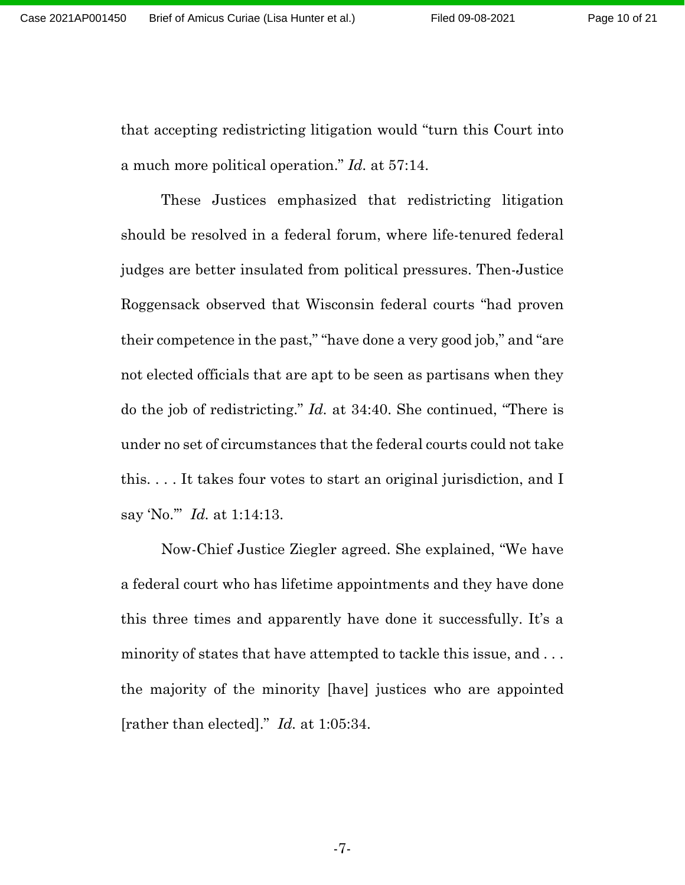that accepting redistricting litigation would "turn this Court into a much more political operation." *Id.* at 57:14.

These Justices emphasized that redistricting litigation should be resolved in a federal forum, where life-tenured federal judges are better insulated from political pressures. Then-Justice Roggensack observed that Wisconsin federal courts "had proven their competence in the past," "have done a very good job," and "are not elected officials that are apt to be seen as partisans when they do the job of redistricting." *Id.* at 34:40. She continued, "There is under no set of circumstances that the federal courts could not take this. . . . It takes four votes to start an original jurisdiction, and I say 'No.'" *Id.* at 1:14:13.

Now-Chief Justice Ziegler agreed. She explained, "We have a federal court who has lifetime appointments and they have done this three times and apparently have done it successfully. It's a minority of states that have attempted to tackle this issue, and . . . the majority of the minority [have] justices who are appointed [rather than elected]." *Id.* at 1:05:34.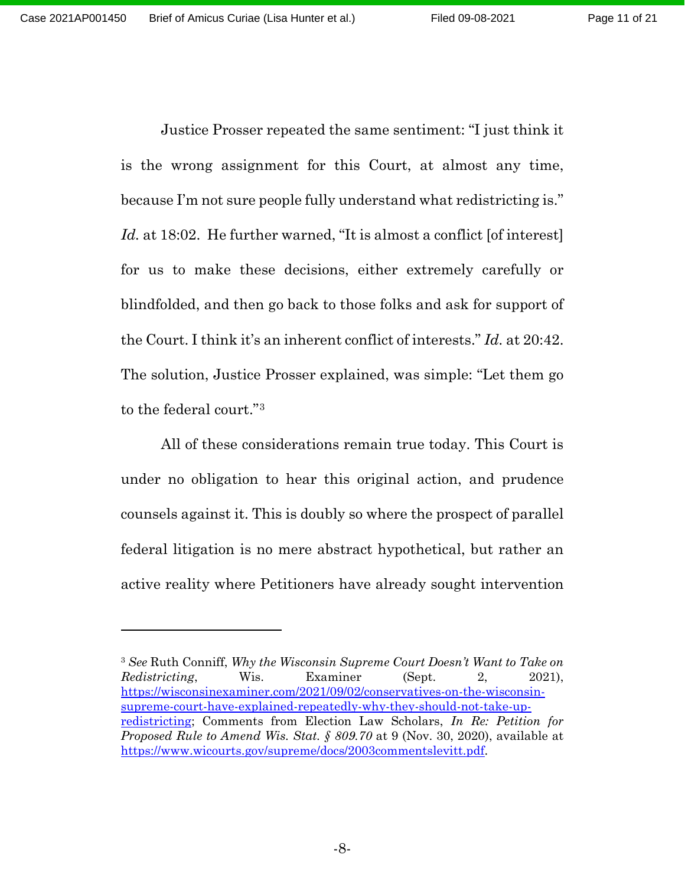Justice Prosser repeated the same sentiment: "I just think it is the wrong assignment for this Court, at almost any time, because I'm not sure people fully understand what redistricting is." *Id.* at 18:02. He further warned, "It is almost a conflict [of interest] for us to make these decisions, either extremely carefully or blindfolded, and then go back to those folks and ask for support of the Court. I think it's an inherent conflict of interests." *Id.* at 20:42. The solution, Justice Prosser explained, was simple: "Let them go to the federal court."[3](#page-10-0)

All of these considerations remain true today. This Court is under no obligation to hear this original action, and prudence counsels against it. This is doubly so where the prospect of parallel federal litigation is no mere abstract hypothetical, but rather an active reality where Petitioners have already sought intervention

<span id="page-10-0"></span><sup>3</sup> *See* Ruth Conniff, *Why the Wisconsin Supreme Court Doesn't Want to Take on Redistricting*, Wis. Examiner (Sept. 2, 2021), [https://wisconsinexaminer.com/2021/09/02/conservatives-on-the-wisconsin](https://wisconsinexaminer.com/2021/09/02/conservatives-on-the-wisconsin-supreme-court-have-explained-repeatedly-why-they-should-not-take-up-redistricting/)[supreme-court-have-explained-repeatedly-why-they-should-not-take-up](https://wisconsinexaminer.com/2021/09/02/conservatives-on-the-wisconsin-supreme-court-have-explained-repeatedly-why-they-should-not-take-up-redistricting/)[redistricting;](https://wisconsinexaminer.com/2021/09/02/conservatives-on-the-wisconsin-supreme-court-have-explained-repeatedly-why-they-should-not-take-up-redistricting/) [Comments from Election](https://www.wicourts.gov/supreme/docs/2003commentslevitt.pdf) Law Scholars, *In Re: Petition for Proposed Rule to Amend Wis. Stat. § 809.70* at 9 (Nov. 30, 2020), available at [https://www.wicourts.gov/supreme/docs/2003commentslevitt.pdf.](https://www.wicourts.gov/supreme/docs/2003commentslevitt.pdf)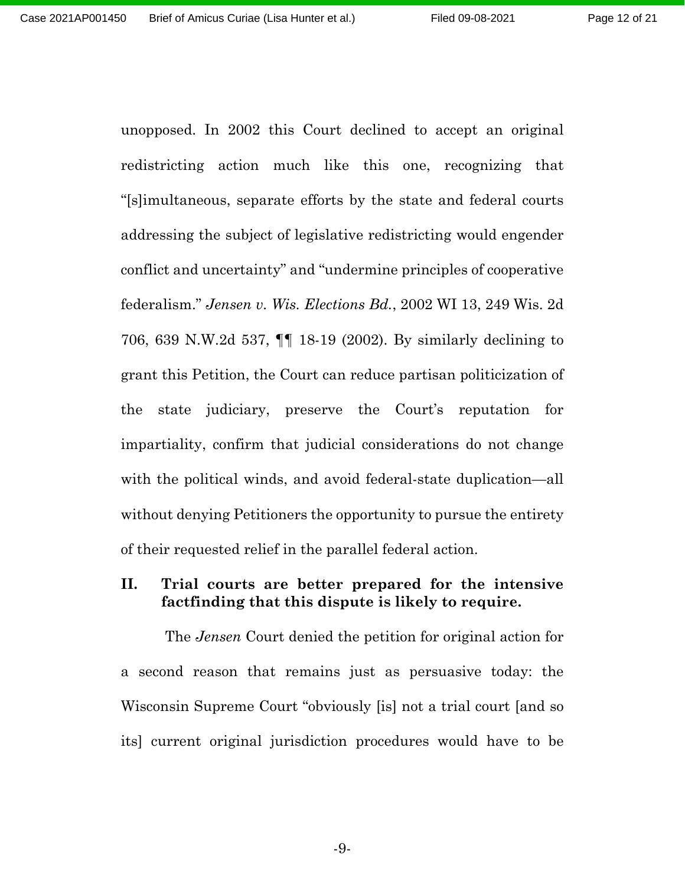unopposed. In 2002 this Court declined to accept an original redistricting action much like this one, recognizing that "[s]imultaneous, separate efforts by the state and federal courts addressing the subject of legislative redistricting would engender conflict and uncertainty" and "undermine principles of cooperative federalism." *Jensen v. Wis. Elections Bd.*, 2002 WI 13, 249 Wis. 2d 706, 639 N.W.2d 537, ¶¶ 18-19 (2002). By similarly declining to grant this Petition, the Court can reduce partisan politicization of the state judiciary, preserve the Court's reputation for impartiality, confirm that judicial considerations do not change with the political winds, and avoid federal-state duplication—all without denying Petitioners the opportunity to pursue the entirety of their requested relief in the parallel federal action.

#### <span id="page-11-0"></span>**II. Trial courts are better prepared for the intensive factfinding that this dispute is likely to require.**

The *Jensen* Court denied the petition for original action for a second reason that remains just as persuasive today: the Wisconsin Supreme Court "obviously [is] not a trial court [and so its] current original jurisdiction procedures would have to be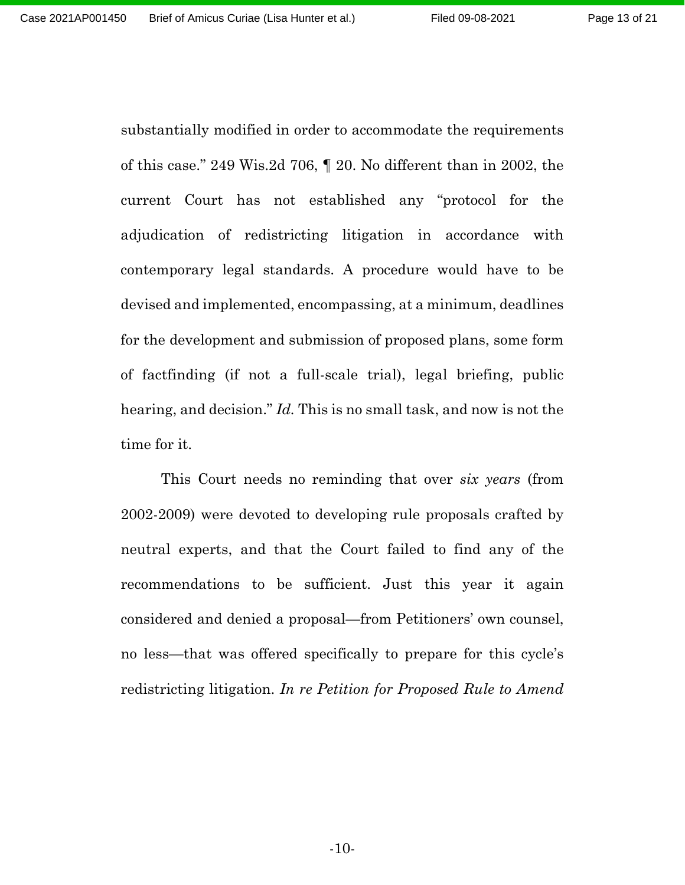substantially modified in order to accommodate the requirements of this case." 249 Wis.2d 706, ¶ 20. No different than in 2002, the current Court has not established any "protocol for the adjudication of redistricting litigation in accordance with contemporary legal standards. A procedure would have to be devised and implemented, encompassing, at a minimum, deadlines for the development and submission of proposed plans, some form of factfinding (if not a full-scale trial), legal briefing, public hearing, and decision." *Id.* This is no small task, and now is not the time for it.

This Court needs no reminding that over *six years* (from 2002-2009) were devoted to developing rule proposals crafted by neutral experts, and that the Court failed to find any of the recommendations to be sufficient. Just this year it again considered and denied a proposal—from Petitioners' own counsel, no less—that was offered specifically to prepare for this cycle's redistricting litigation. *In re Petition for Proposed Rule to Amend*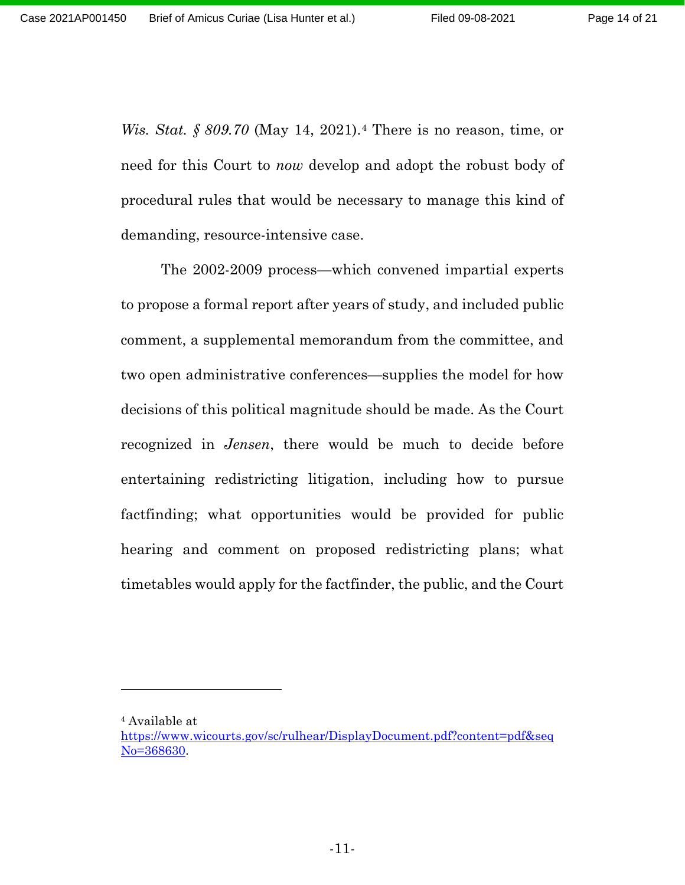*Wis. Stat. § 809.70* (May 14, 2021).[4](#page-13-0) There is no reason, time, or need for this Court to *now* develop and adopt the robust body of procedural rules that would be necessary to manage this kind of demanding, resource-intensive case.

The 2002-2009 process—which convened impartial experts to propose a formal report after years of study, and included public comment, a supplemental memorandum from the committee, and two open administrative conferences—supplies the model for how decisions of this political magnitude should be made. As the Court recognized in *Jensen*, there would be much to decide before entertaining redistricting litigation, including how to pursue factfinding; what opportunities would be provided for public hearing and comment on proposed redistricting plans; what timetables would apply for the factfinder, the public, and the Court

<span id="page-13-0"></span><sup>4</sup> Available at

[https://www.wicourts.gov/sc/rulhear/DisplayDocument.pdf?content=pdf&seq](https://www.wicourts.gov/sc/rulhear/DisplayDocument.pdf?content=pdf&seqNo=368630) [No=368630.](https://www.wicourts.gov/sc/rulhear/DisplayDocument.pdf?content=pdf&seqNo=368630)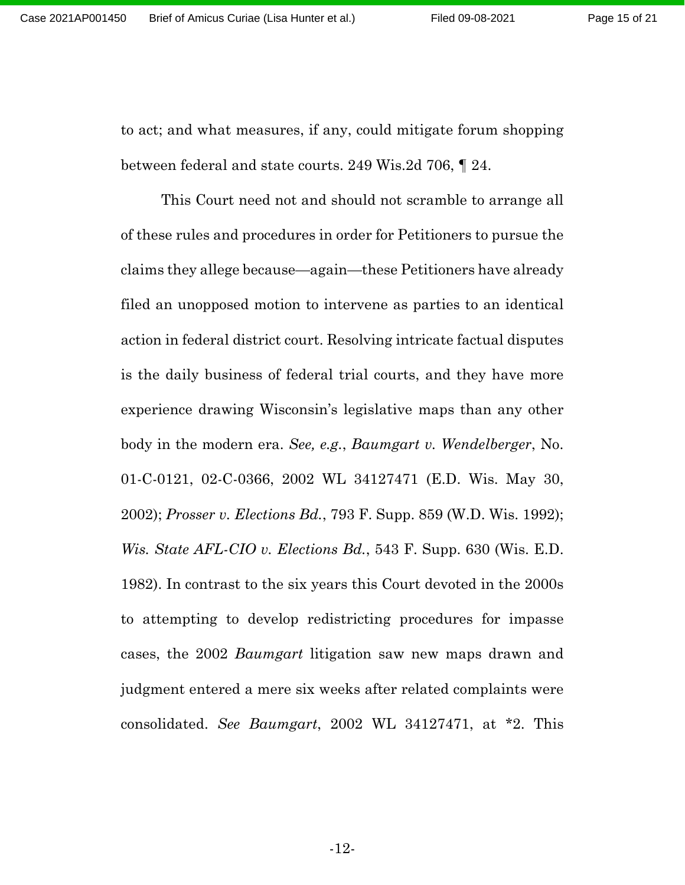Page 15 of 21

to act; and what measures, if any, could mitigate forum shopping between federal and state courts. 249 Wis.2d 706, ¶ 24.

This Court need not and should not scramble to arrange all of these rules and procedures in order for Petitioners to pursue the claims they allege because—again—these Petitioners have already filed an unopposed motion to intervene as parties to an identical action in federal district court. Resolving intricate factual disputes is the daily business of federal trial courts, and they have more experience drawing Wisconsin's legislative maps than any other body in the modern era. *See, e.g.*, *Baumgart v. Wendelberger*, No. 01-C-0121, 02-C-0366, 2002 WL 34127471 (E.D. Wis. May 30, 2002); *Prosser v. Elections Bd.*, 793 F. Supp. 859 (W.D. Wis. 1992); *Wis. State AFL-CIO v. Elections Bd.*, 543 F. Supp. 630 (Wis. E.D. 1982). In contrast to the six years this Court devoted in the 2000s to attempting to develop redistricting procedures for impasse cases, the 2002 *Baumgart* litigation saw new maps drawn and judgment entered a mere six weeks after related complaints were consolidated. *See Baumgart*, 2002 WL 34127471, at \*2. This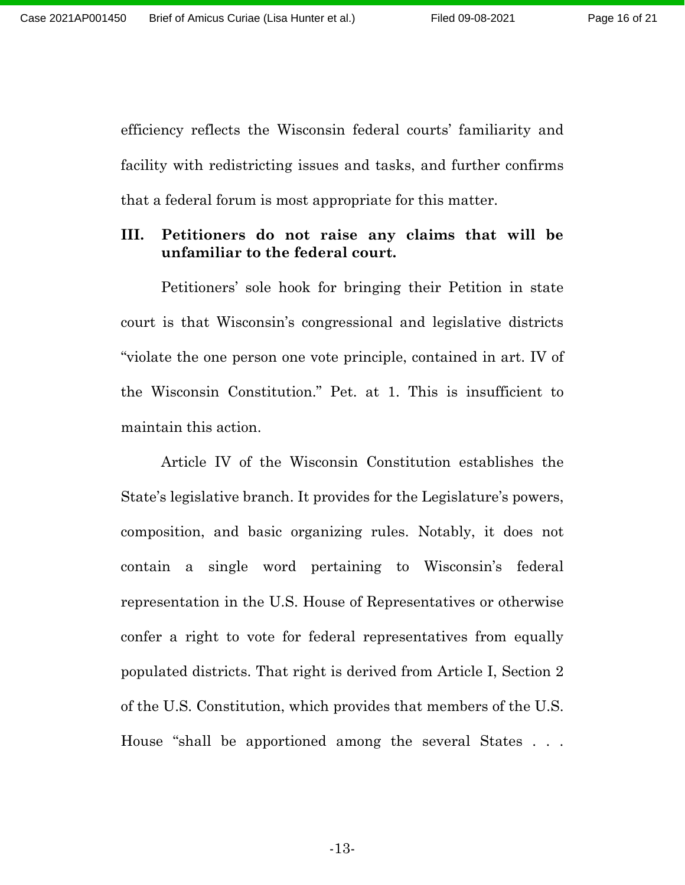efficiency reflects the Wisconsin federal courts' familiarity and facility with redistricting issues and tasks, and further confirms that a federal forum is most appropriate for this matter.

#### <span id="page-15-0"></span>**III. Petitioners do not raise any claims that will be unfamiliar to the federal court.**

Petitioners' sole hook for bringing their Petition in state court is that Wisconsin's congressional and legislative districts "violate the one person one vote principle, contained in art. IV of the Wisconsin Constitution." Pet. at 1. This is insufficient to maintain this action.

Article IV of the Wisconsin Constitution establishes the State's legislative branch. It provides for the Legislature's powers, composition, and basic organizing rules. Notably, it does not contain a single word pertaining to Wisconsin's federal representation in the U.S. House of Representatives or otherwise confer a right to vote for federal representatives from equally populated districts. That right is derived from Article I, Section 2 of the U.S. Constitution, which provides that members of the U.S. House "shall be apportioned among the several States . . .

-13-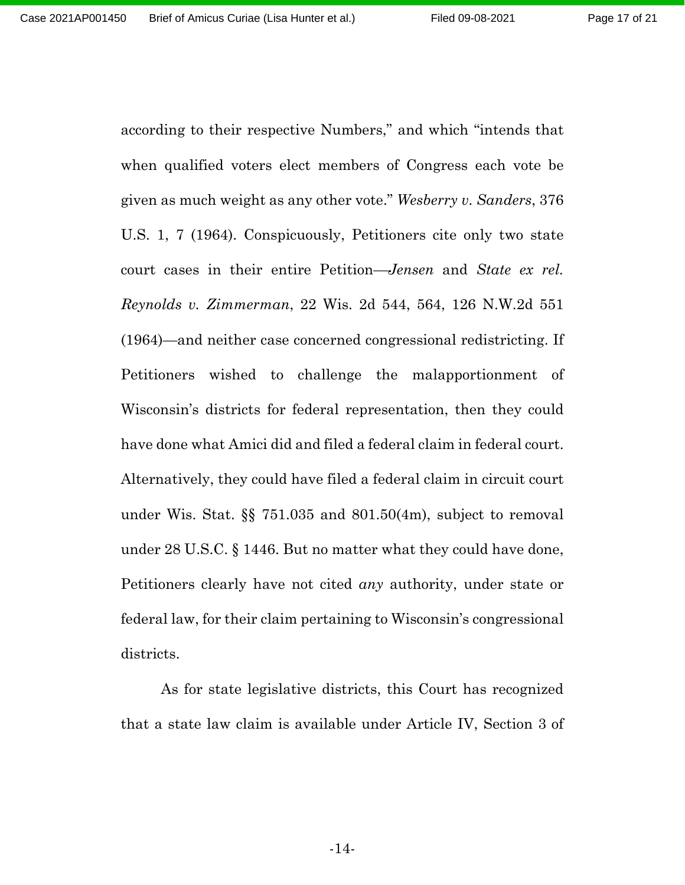Page 17 of 21

according to their respective Numbers," and which "intends that when qualified voters elect members of Congress each vote be given as much weight as any other vote." *Wesberry v. Sanders*, 376 U.S. 1, 7 (1964). Conspicuously, Petitioners cite only two state court cases in their entire Petition—*Jensen* and *State ex rel. Reynolds v. Zimmerman*, 22 Wis. 2d 544, 564, 126 N.W.2d 551 (1964)—and neither case concerned congressional redistricting. If Petitioners wished to challenge the malapportionment of Wisconsin's districts for federal representation, then they could have done what Amici did and filed a federal claim in federal court. Alternatively, they could have filed a federal claim in circuit court under Wis. Stat. §§ 751.035 and 801.50(4m), subject to removal under 28 U.S.C. § 1446. But no matter what they could have done, Petitioners clearly have not cited *any* authority, under state or federal law, for their claim pertaining to Wisconsin's congressional districts.

As for state legislative districts, this Court has recognized that a state law claim is available under Article IV, Section 3 of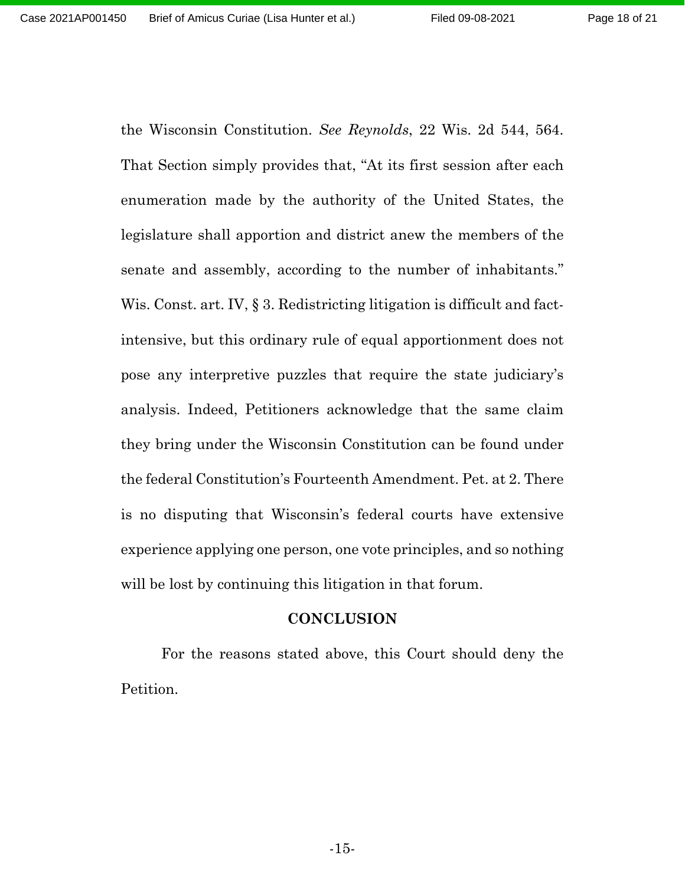the Wisconsin Constitution. *See Reynolds*, 22 Wis. 2d 544, 564. That Section simply provides that, "At its first session after each enumeration made by the authority of the United States, the legislature shall apportion and district anew the members of the senate and assembly, according to the number of inhabitants." Wis. Const. art. IV, § 3. Redistricting litigation is difficult and factintensive, but this ordinary rule of equal apportionment does not pose any interpretive puzzles that require the state judiciary's analysis. Indeed, Petitioners acknowledge that the same claim they bring under the Wisconsin Constitution can be found under the federal Constitution's Fourteenth Amendment. Pet. at 2. There is no disputing that Wisconsin's federal courts have extensive experience applying one person, one vote principles, and so nothing will be lost by continuing this litigation in that forum.

#### **CONCLUSION**

<span id="page-17-0"></span>For the reasons stated above, this Court should deny the Petition.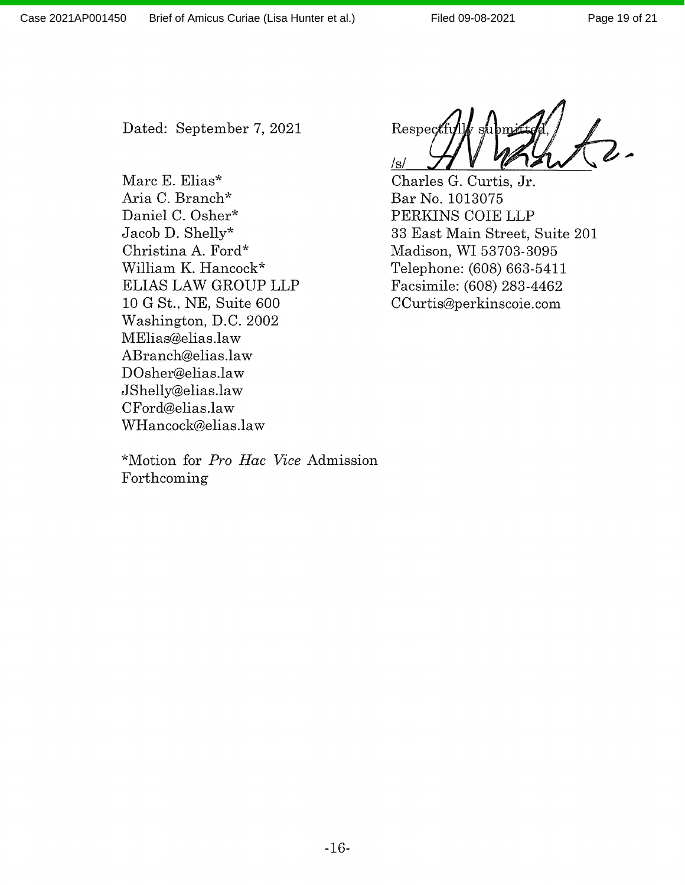Dated: September 7, 2021

Marc E. Elias\* Aria C. Branch\* Daniel C. Osher\* Jacob D. Shelly\* Christina A. Ford\* William K. Hancock\* **ELIAS LAW GROUP LLP** 10 G St., NE, Suite 600 Washington, D.C. 2002 MElias@elias.law ABranch@elias.law DOsher@elias.law JShelly@elias.law CFord@elias.law WHancock@elias.law

Respect  $/s/$ 

Charles G. Curtis, Jr. Bar No. 1013075 PERKINS COIE LLP 33 East Main Street, Suite 201 Madison, WI 53703-3095 Telephone: (608) 663-5411 Facsimile: (608) 283-4462 CCurtis@perkinscoie.com

\*Motion for Pro Hac Vice Admission Forthcoming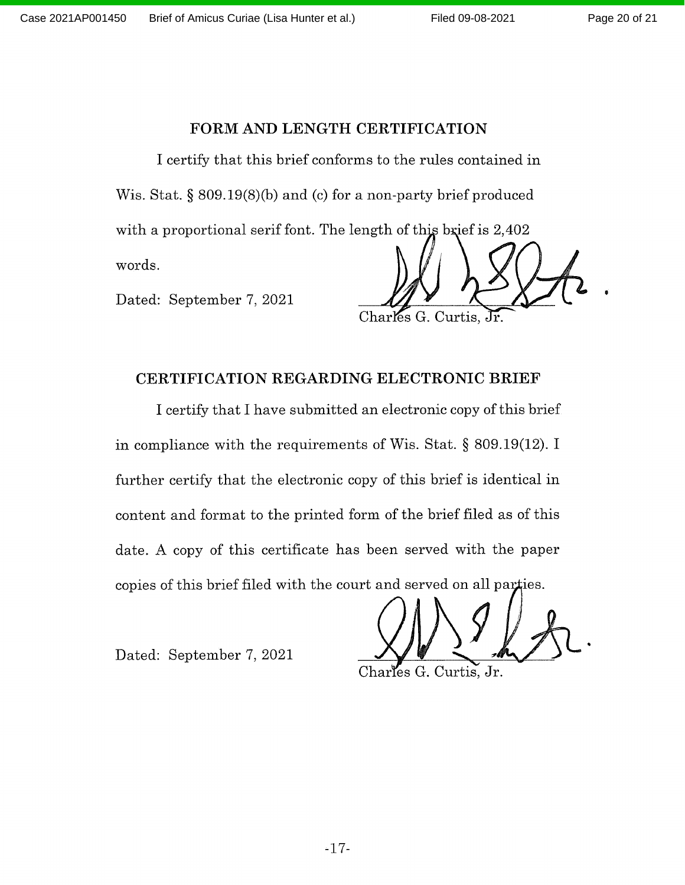#### FORM AND LENGTH CERTIFICATION

I certify that this brief conforms to the rules contained in Wis. Stat. §  $809.19(8)(b)$  and (c) for a non-party brief produced with a proportional serif font. The length of this brief is 2,402 words.

Dated: September 7, 2021

Charles G. Curtis, Jr.

#### CERTIFICATION REGARDING ELECTRONIC BRIEF

I certify that I have submitted an electronic copy of this brief in compliance with the requirements of Wis. Stat.  $\S$  809.19(12). I further certify that the electronic copy of this brief is identical in content and format to the printed form of the brief filed as of this date. A copy of this certificate has been served with the paper copies of this brief filed with the court and served on all parties.

Dated: September 7, 2021

Charles G. Curtis, Jr.